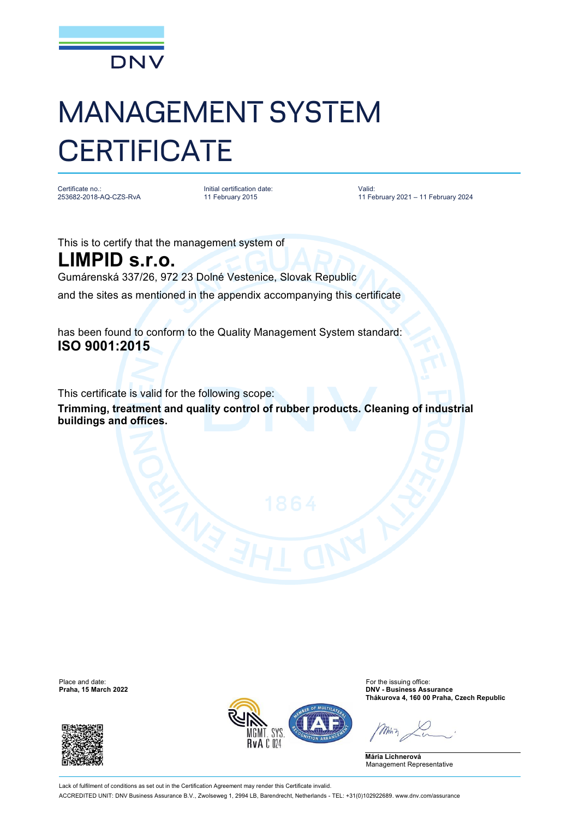

## MANAGEMENT SYSTEM **CERTIFICATE**

Certificate no.: 253682-2018-AQ-CZS-RvA Initial certification date: 11 February 2015

Valid: 11 February 2021 – 11 February 2024

This is to certify that the management system of

**LIMPID s.r.o.** Gumárenská 337/26, 972 23 Dolné Vestenice, Slovak Republic and the sites as mentioned in the appendix accompanying this certificate

has been found to conform to the Quality Management System standard: **ISO 9001:2015**

This certificate is valid for the following scope:

**Trimming, treatment and quality control of rubber products. Cleaning of industrial buildings and offices.**

Place and date: For the issuing office:<br> **Praha, 15 March 2022**<br> **Praha, 15 March 2022** 





**Praha, 15 March 2022 DNV - Business Assurance Thákurova 4, 160 00 Praha, Czech Republic**

**Mária Lichnerová** Management Representative

Lack of fulfilment of conditions as set out in the Certification Agreement may render this Certificate invalid. ACCREDITED UNIT: DNV Business Assurance B.V., Zwolseweg 1, 2994 LB, Barendrecht, Netherlands - TEL: +31(0)102922689. [www.dnv.com/assurance](http://www.dnv.com/assurance)